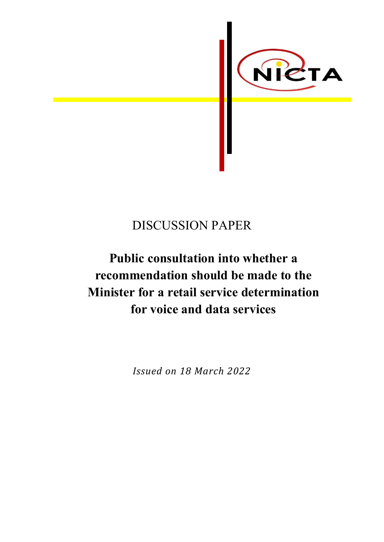

# DISCUSSION PAPER

# **Public consultation into whether a recommendation should be made to the Minister for a retail service determination for voice and data services**

*Issued on 18 March 2022*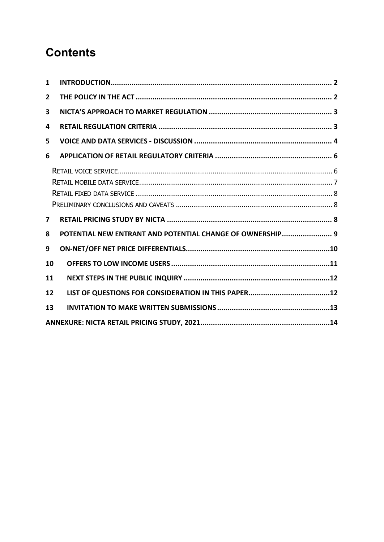# **Contents**

| $\mathbf{1}$   |                                                           |  |  |  |  |
|----------------|-----------------------------------------------------------|--|--|--|--|
| $\mathbf{2}$   |                                                           |  |  |  |  |
| 3              |                                                           |  |  |  |  |
| 4              |                                                           |  |  |  |  |
| 5              |                                                           |  |  |  |  |
| 6              |                                                           |  |  |  |  |
|                |                                                           |  |  |  |  |
| $\overline{ }$ |                                                           |  |  |  |  |
| 8              | POTENTIAL NEW ENTRANT AND POTENTIAL CHANGE OF OWNERSHIP 9 |  |  |  |  |
| 9              |                                                           |  |  |  |  |
| 10             |                                                           |  |  |  |  |
| 11             |                                                           |  |  |  |  |
| 12             |                                                           |  |  |  |  |
| 13             |                                                           |  |  |  |  |
|                |                                                           |  |  |  |  |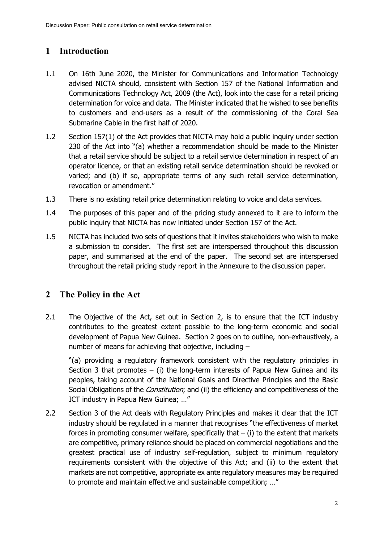### <span id="page-2-0"></span>**1 Introduction**

- 1.1 On 16th June 2020, the Minister for Communications and Information Technology advised NICTA should, consistent with Section 157 of the National Information and Communications Technology Act, 2009 (the Act), look into the case for a retail pricing determination for voice and data. The Minister indicated that he wished to see benefits to customers and end-users as a result of the commissioning of the Coral Sea Submarine Cable in the first half of 2020.
- 1.2 Section 157(1) of the Act provides that NICTA may hold a public inquiry under section 230 of the Act into "(a) whether a recommendation should be made to the Minister that a retail service should be subject to a retail service determination in respect of an operator licence, or that an existing retail service determination should be revoked or varied; and (b) if so, appropriate terms of any such retail service determination, revocation or amendment."
- 1.3 There is no existing retail price determination relating to voice and data services.
- 1.4 The purposes of this paper and of the pricing study annexed to it are to inform the public inquiry that NICTA has now initiated under Section 157 of the Act.
- 1.5 NICTA has included two sets of questions that it invites stakeholders who wish to make a submission to consider. The first set are interspersed throughout this discussion paper, and summarised at the end of the paper. The second set are interspersed throughout the retail pricing study report in the Annexure to the discussion paper.

### <span id="page-2-1"></span>**2 The Policy in the Act**

2.1 The Objective of the Act, set out in Section 2, is to ensure that the ICT industry contributes to the greatest extent possible to the long-term economic and social development of Papua New Guinea. Section 2 goes on to outline, non-exhaustively, a number of means for achieving that objective, including –

"(a) providing a regulatory framework consistent with the regulatory principles in Section 3 that promotes  $-$  (i) the long-term interests of Papua New Guinea and its peoples, taking account of the National Goals and Directive Principles and the Basic Social Obligations of the *Constitution*; and (ii) the efficiency and competitiveness of the ICT industry in Papua New Guinea; …"

2.2 Section 3 of the Act deals with Regulatory Principles and makes it clear that the ICT industry should be regulated in a manner that recognises "the effectiveness of market forces in promoting consumer welfare, specifically that  $-$  (i) to the extent that markets are competitive, primary reliance should be placed on commercial negotiations and the greatest practical use of industry self-regulation, subject to minimum regulatory requirements consistent with the objective of this Act; and (ii) to the extent that markets are not competitive, appropriate ex ante regulatory measures may be required to promote and maintain effective and sustainable competition; …"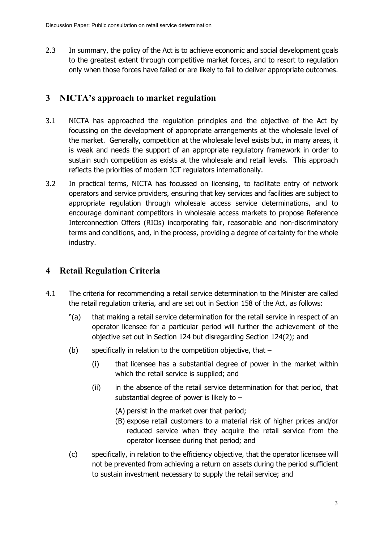2.3 In summary, the policy of the Act is to achieve economic and social development goals to the greatest extent through competitive market forces, and to resort to regulation only when those forces have failed or are likely to fail to deliver appropriate outcomes.

### <span id="page-3-0"></span>**3 NICTA's approach to market regulation**

- 3.1 NICTA has approached the regulation principles and the objective of the Act by focussing on the development of appropriate arrangements at the wholesale level of the market. Generally, competition at the wholesale level exists but, in many areas, it is weak and needs the support of an appropriate regulatory framework in order to sustain such competition as exists at the wholesale and retail levels. This approach reflects the priorities of modern ICT regulators internationally.
- 3.2 In practical terms, NICTA has focussed on licensing, to facilitate entry of network operators and service providers, ensuring that key services and facilities are subject to appropriate regulation through wholesale access service determinations, and to encourage dominant competitors in wholesale access markets to propose Reference Interconnection Offers (RIOs) incorporating fair, reasonable and non-discriminatory terms and conditions, and, in the process, providing a degree of certainty for the whole industry.

### <span id="page-3-1"></span>**4 Retail Regulation Criteria**

- 4.1 The criteria for recommending a retail service determination to the Minister are called the retail regulation criteria, and are set out in Section 158 of the Act, as follows:
	- "(a) that making a retail service determination for the retail service in respect of an operator licensee for a particular period will further the achievement of the objective set out in Section 124 but disregarding Section 124(2); and
	- (b) specifically in relation to the competition objective, that  $-$ 
		- (i) that licensee has a substantial degree of power in the market within which the retail service is supplied; and
		- (ii) in the absence of the retail service determination for that period, that substantial degree of power is likely to  $-$ 
			- (A) persist in the market over that period;
			- (B) expose retail customers to a material risk of higher prices and/or reduced service when they acquire the retail service from the operator licensee during that period; and
	- (c) specifically, in relation to the efficiency objective, that the operator licensee will not be prevented from achieving a return on assets during the period sufficient to sustain investment necessary to supply the retail service; and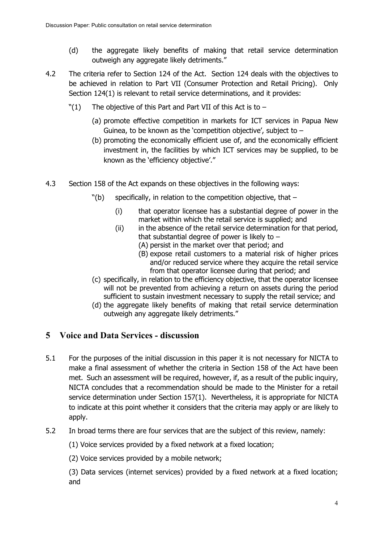- (d) the aggregate likely benefits of making that retail service determination outweigh any aggregate likely detriments."
- 4.2 The criteria refer to Section 124 of the Act. Section 124 deals with the objectives to be achieved in relation to Part VII (Consumer Protection and Retail Pricing). Only Section 124(1) is relevant to retail service determinations, and it provides:
	- " $(1)$  The objective of this Part and Part VII of this Act is to  $-$ 
		- (a) promote effective competition in markets for ICT services in Papua New Guinea, to be known as the 'competition objective', subject to  $-$
		- (b) promoting the economically efficient use of, and the economically efficient investment in, the facilities by which ICT services may be supplied, to be known as the 'efficiency objective'."
- 4.3 Section 158 of the Act expands on these objectives in the following ways:
	- $"$ (b) specifically, in relation to the competition objective, that  $-$ 
		- (i) that operator licensee has a substantial degree of power in the market within which the retail service is supplied; and
		- (ii) in the absence of the retail service determination for that period, that substantial degree of power is likely to  $-$ 
			- (A) persist in the market over that period; and
			- (B) expose retail customers to a material risk of higher prices and/or reduced service where they acquire the retail service from that operator licensee during that period; and
	- (c) specifically, in relation to the efficiency objective, that the operator licensee will not be prevented from achieving a return on assets during the period sufficient to sustain investment necessary to supply the retail service; and
	- (d) the aggregate likely benefits of making that retail service determination outweigh any aggregate likely detriments."

### <span id="page-4-0"></span>**5 Voice and Data Services - discussion**

- 5.1 For the purposes of the initial discussion in this paper it is not necessary for NICTA to make a final assessment of whether the criteria in Section 158 of the Act have been met. Such an assessment will be required, however, if, as a result of the public inquiry, NICTA concludes that a recommendation should be made to the Minister for a retail service determination under Section 157(1). Nevertheless, it is appropriate for NICTA to indicate at this point whether it considers that the criteria may apply or are likely to apply.
- 5.2 In broad terms there are four services that are the subject of this review, namely:
	- (1) Voice services provided by a fixed network at a fixed location;
	- (2) Voice services provided by a mobile network;

(3) Data services (internet services) provided by a fixed network at a fixed location; and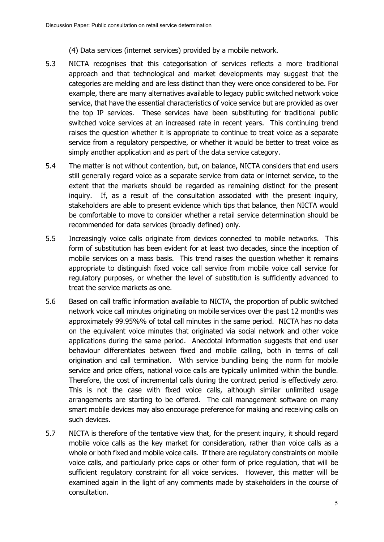(4) Data services (internet services) provided by a mobile network.

- 5.3 NICTA recognises that this categorisation of services reflects a more traditional approach and that technological and market developments may suggest that the categories are melding and are less distinct than they were once considered to be. For example, there are many alternatives available to legacy public switched network voice service, that have the essential characteristics of voice service but are provided as over the top IP services. These services have been substituting for traditional public switched voice services at an increased rate in recent years. This continuing trend raises the question whether it is appropriate to continue to treat voice as a separate service from a regulatory perspective, or whether it would be better to treat voice as simply another application and as part of the data service category.
- 5.4 The matter is not without contention, but, on balance, NICTA considers that end users still generally regard voice as a separate service from data or internet service, to the extent that the markets should be regarded as remaining distinct for the present inquiry. If, as a result of the consultation associated with the present inquiry, stakeholders are able to present evidence which tips that balance, then NICTA would be comfortable to move to consider whether a retail service determination should be recommended for data services (broadly defined) only.
- 5.5 Increasingly voice calls originate from devices connected to mobile networks. This form of substitution has been evident for at least two decades, since the inception of mobile services on a mass basis. This trend raises the question whether it remains appropriate to distinguish fixed voice call service from mobile voice call service for regulatory purposes, or whether the level of substitution is sufficiently advanced to treat the service markets as one.
- 5.6 Based on call traffic information available to NICTA, the proportion of public switched network voice call minutes originating on mobile services over the past 12 months was approximately 99.95%% of total call minutes in the same period. NICTA has no data on the equivalent voice minutes that originated via social network and other voice applications during the same period. Anecdotal information suggests that end user behaviour differentiates between fixed and mobile calling, both in terms of call origination and call termination. With service bundling being the norm for mobile service and price offers, national voice calls are typically unlimited within the bundle. Therefore, the cost of incremental calls during the contract period is effectively zero. This is not the case with fixed voice calls, although similar unlimited usage arrangements are starting to be offered. The call management software on many smart mobile devices may also encourage preference for making and receiving calls on such devices.
- 5.7 NICTA is therefore of the tentative view that, for the present inquiry, it should regard mobile voice calls as the key market for consideration, rather than voice calls as a whole or both fixed and mobile voice calls. If there are regulatory constraints on mobile voice calls, and particularly price caps or other form of price regulation, that will be sufficient regulatory constraint for all voice services. However, this matter will be examined again in the light of any comments made by stakeholders in the course of consultation.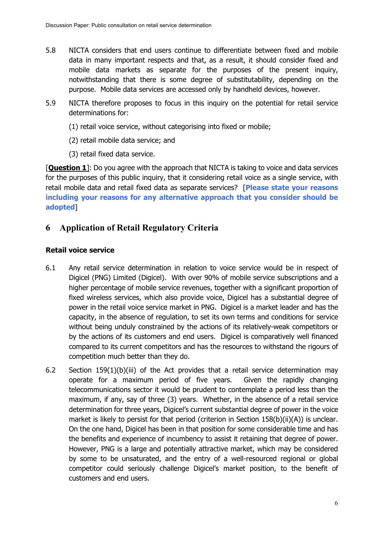- 5.8 NICTA considers that end users continue to differentiate between fixed and mobile data in many important respects and that, as a result, it should consider fixed and mobile data markets as separate for the purposes of the present inquiry, notwithstanding that there is some degree of substitutability, depending on the purpose. Mobile data services are accessed only by handheld devices, however.
- 5.9 NICTA therefore proposes to focus in this inquiry on the potential for retail service determinations for:
	- (1) retail voice service, without categorising into fixed or mobile;
	- (2) retail mobile data service; and
	- (3) retail fixed data service.

[**Question 1**]: Do you agree with the approach that NICTA is taking to voice and data services for the purposes of this public inquiry, that it considering retail voice as a single service, with retail mobile data and retail fixed data as separate services? [**Please state your reasons including your reasons for any alternative approach that you consider should be adopted**]

### <span id="page-6-0"></span>**6 Application of Retail Regulatory Criteria**

#### <span id="page-6-1"></span>**Retail voice service**

- 6.1 Any retail service determination in relation to voice service would be in respect of Digicel (PNG) Limited (Digicel). With over 90% of mobile service subscriptions and a higher percentage of mobile service revenues, together with a significant proportion of fixed wireless services, which also provide voice, Digicel has a substantial degree of power in the retail voice service market in PNG. Digicel is a market leader and has the capacity, in the absence of regulation, to set its own terms and conditions for service without being unduly constrained by the actions of its relatively-weak competitors or by the actions of its customers and end users. Digicel is comparatively well financed compared to its current competitors and has the resources to withstand the rigours of competition much better than they do.
- 6.2 Section 159(1)(b)(iii) of the Act provides that a retail service determination may operate for a maximum period of five years. Given the rapidly changing telecommunications sector it would be prudent to contemplate a period less than the maximum, if any, say of three (3) years. Whether, in the absence of a retail service determination for three years, Digicel's current substantial degree of power in the voice market is likely to persist for that period (criterion in Section 158(b)(ii)(A)) is unclear. On the one hand, Digicel has been in that position for some considerable time and has the benefits and experience of incumbency to assist it retaining that degree of power. However, PNG is a large and potentially attractive market, which may be considered by some to be unsaturated, and the entry of a well-resourced regional or global competitor could seriously challenge Digicel's market position, to the benefit of customers and end users.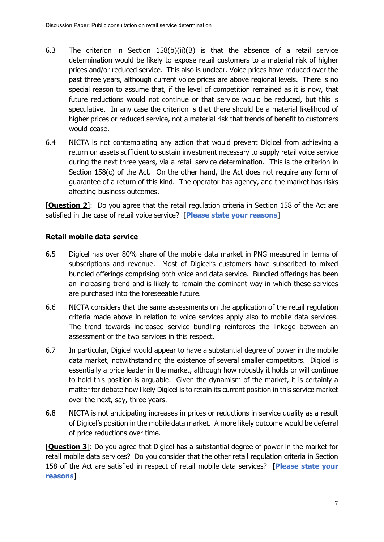- 6.3 The criterion in Section 158(b)(ii)(B) is that the absence of a retail service determination would be likely to expose retail customers to a material risk of higher prices and/or reduced service. This also is unclear. Voice prices have reduced over the past three years, although current voice prices are above regional levels. There is no special reason to assume that, if the level of competition remained as it is now, that future reductions would not continue or that service would be reduced, but this is speculative. In any case the criterion is that there should be a material likelihood of higher prices or reduced service, not a material risk that trends of benefit to customers would cease.
- 6.4 NICTA is not contemplating any action that would prevent Digicel from achieving a return on assets sufficient to sustain investment necessary to supply retail voice service during the next three years, via a retail service determination. This is the criterion in Section 158(c) of the Act. On the other hand, the Act does not require any form of guarantee of a return of this kind. The operator has agency, and the market has risks affecting business outcomes.

[**Question 2**]: Do you agree that the retail regulation criteria in Section 158 of the Act are satisfied in the case of retail voice service? [**Please state your reasons**]

### <span id="page-7-0"></span>**Retail mobile data service**

- 6.5 Digicel has over 80% share of the mobile data market in PNG measured in terms of subscriptions and revenue. Most of Digicel's customers have subscribed to mixed bundled offerings comprising both voice and data service. Bundled offerings has been an increasing trend and is likely to remain the dominant way in which these services are purchased into the foreseeable future.
- 6.6 NICTA considers that the same assessments on the application of the retail regulation criteria made above in relation to voice services apply also to mobile data services. The trend towards increased service bundling reinforces the linkage between an assessment of the two services in this respect.
- 6.7 In particular, Digicel would appear to have a substantial degree of power in the mobile data market, notwithstanding the existence of several smaller competitors. Digicel is essentially a price leader in the market, although how robustly it holds or will continue to hold this position is arguable. Given the dynamism of the market, it is certainly a matter for debate how likely Digicel is to retain its current position in this service market over the next, say, three years.
- 6.8 NICTA is not anticipating increases in prices or reductions in service quality as a result of Digicel's position in the mobile data market. A more likely outcome would be deferral of price reductions over time.

[**Question 3**]: Do you agree that Digicel has a substantial degree of power in the market for retail mobile data services? Do you consider that the other retail regulation criteria in Section 158 of the Act are satisfied in respect of retail mobile data services? [**Please state your reasons**]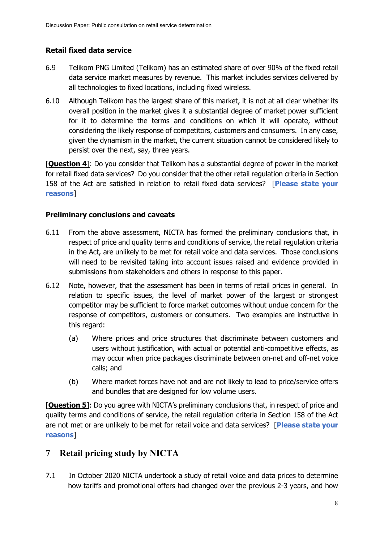### <span id="page-8-0"></span>**Retail fixed data service**

- 6.9 Telikom PNG Limited (Telikom) has an estimated share of over 90% of the fixed retail data service market measures by revenue. This market includes services delivered by all technologies to fixed locations, including fixed wireless.
- 6.10 Although Telikom has the largest share of this market, it is not at all clear whether its overall position in the market gives it a substantial degree of market power sufficient for it to determine the terms and conditions on which it will operate, without considering the likely response of competitors, customers and consumers. In any case, given the dynamism in the market, the current situation cannot be considered likely to persist over the next, say, three years.

[**Question 4**]: Do you consider that Telikom has a substantial degree of power in the market for retail fixed data services? Do you consider that the other retail regulation criteria in Section 158 of the Act are satisfied in relation to retail fixed data services? [**Please state your reasons**]

#### <span id="page-8-1"></span>**Preliminary conclusions and caveats**

- 6.11 From the above assessment, NICTA has formed the preliminary conclusions that, in respect of price and quality terms and conditions of service, the retail regulation criteria in the Act, are unlikely to be met for retail voice and data services. Those conclusions will need to be revisited taking into account issues raised and evidence provided in submissions from stakeholders and others in response to this paper.
- 6.12 Note, however, that the assessment has been in terms of retail prices in general. In relation to specific issues, the level of market power of the largest or strongest competitor may be sufficient to force market outcomes without undue concern for the response of competitors, customers or consumers. Two examples are instructive in this regard:
	- (a) Where prices and price structures that discriminate between customers and users without justification, with actual or potential anti-competitive effects, as may occur when price packages discriminate between on-net and off-net voice calls; and
	- (b) Where market forces have not and are not likely to lead to price/service offers and bundles that are designed for low volume users.

[**Question 5**]: Do you agree with NICTA's preliminary conclusions that, in respect of price and quality terms and conditions of service, the retail regulation criteria in Section 158 of the Act are not met or are unlikely to be met for retail voice and data services? [**Please state your reasons**]

### <span id="page-8-2"></span>**7 Retail pricing study by NICTA**

7.1 In October 2020 NICTA undertook a study of retail voice and data prices to determine how tariffs and promotional offers had changed over the previous 2-3 years, and how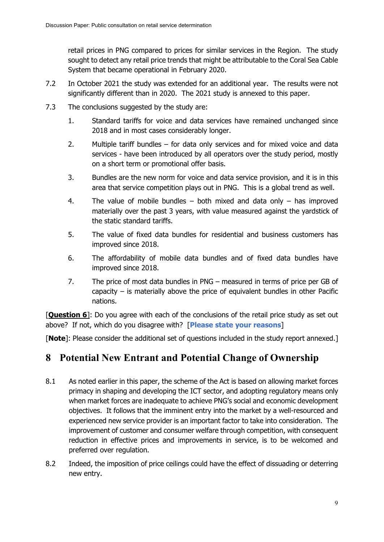retail prices in PNG compared to prices for similar services in the Region. The study sought to detect any retail price trends that might be attributable to the Coral Sea Cable System that became operational in February 2020.

- 7.2 In October 2021 the study was extended for an additional year. The results were not significantly different than in 2020. The 2021 study is annexed to this paper.
- 7.3 The conclusions suggested by the study are:
	- 1. Standard tariffs for voice and data services have remained unchanged since 2018 and in most cases considerably longer.
	- 2. Multiple tariff bundles for data only services and for mixed voice and data services - have been introduced by all operators over the study period, mostly on a short term or promotional offer basis.
	- 3. Bundles are the new norm for voice and data service provision, and it is in this area that service competition plays out in PNG. This is a global trend as well.
	- 4. The value of mobile bundles both mixed and data only has improved materially over the past 3 years, with value measured against the yardstick of the static standard tariffs.
	- 5. The value of fixed data bundles for residential and business customers has improved since 2018.
	- 6. The affordability of mobile data bundles and of fixed data bundles have improved since 2018.
	- 7. The price of most data bundles in PNG measured in terms of price per GB of capacity – is materially above the price of equivalent bundles in other Pacific nations.

[**Question 6**]: Do you agree with each of the conclusions of the retail price study as set out above? If not, which do you disagree with? [**Please state your reasons**]

[**Note**]: Please consider the additional set of questions included in the study report annexed.]

### <span id="page-9-0"></span>**8 Potential New Entrant and Potential Change of Ownership**

- 8.1 As noted earlier in this paper, the scheme of the Act is based on allowing market forces primacy in shaping and developing the ICT sector, and adopting regulatory means only when market forces are inadequate to achieve PNG's social and economic development objectives. It follows that the imminent entry into the market by a well-resourced and experienced new service provider is an important factor to take into consideration. The improvement of customer and consumer welfare through competition, with consequent reduction in effective prices and improvements in service, is to be welcomed and preferred over regulation.
- 8.2 Indeed, the imposition of price ceilings could have the effect of dissuading or deterring new entry.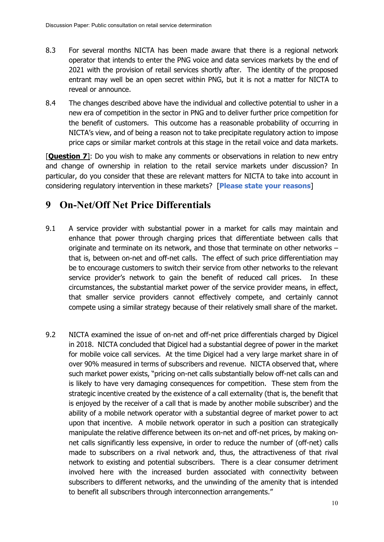- 8.3 For several months NICTA has been made aware that there is a regional network operator that intends to enter the PNG voice and data services markets by the end of 2021 with the provision of retail services shortly after. The identity of the proposed entrant may well be an open secret within PNG, but it is not a matter for NICTA to reveal or announce.
- 8.4 The changes described above have the individual and collective potential to usher in a new era of competition in the sector in PNG and to deliver further price competition for the benefit of customers. This outcome has a reasonable probability of occurring in NICTA's view, and of being a reason not to take precipitate regulatory action to impose price caps or similar market controls at this stage in the retail voice and data markets.

**[Question 7]**: Do you wish to make any comments or observations in relation to new entry and change of ownership in relation to the retail service markets under discussion? In particular, do you consider that these are relevant matters for NICTA to take into account in considering regulatory intervention in these markets? [**Please state your reasons**]

### <span id="page-10-0"></span>**9 On-Net/Off Net Price Differentials**

- 9.1 A service provider with substantial power in a market for calls may maintain and enhance that power through charging prices that differentiate between calls that originate and terminate on its network, and those that terminate on other networks – that is, between on-net and off-net calls. The effect of such price differentiation may be to encourage customers to switch their service from other networks to the relevant service provider's network to gain the benefit of reduced call prices. In these circumstances, the substantial market power of the service provider means, in effect, that smaller service providers cannot effectively compete, and certainly cannot compete using a similar strategy because of their relatively small share of the market.
- 9.2 NICTA examined the issue of on-net and off-net price differentials charged by Digicel in 2018. NICTA concluded that Digicel had a substantial degree of power in the market for mobile voice call services. At the time Digicel had a very large market share in of over 90% measured in terms of subscribers and revenue. NICTA observed that, where such market power exists, "pricing on-net calls substantially below off-net calls can and is likely to have very damaging consequences for competition. These stem from the strategic incentive created by the existence of a call externality (that is, the benefit that is enjoyed by the receiver of a call that is made by another mobile subscriber) and the ability of a mobile network operator with a substantial degree of market power to act upon that incentive. A mobile network operator in such a position can strategically manipulate the relative difference between its on-net and off-net prices, by making onnet calls significantly less expensive, in order to reduce the number of (off-net) calls made to subscribers on a rival network and, thus, the attractiveness of that rival network to existing and potential subscribers. There is a clear consumer detriment involved here with the increased burden associated with connectivity between subscribers to different networks, and the unwinding of the amenity that is intended to benefit all subscribers through interconnection arrangements."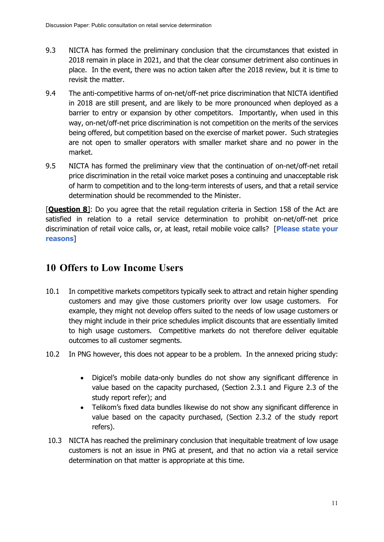- 9.3 NICTA has formed the preliminary conclusion that the circumstances that existed in 2018 remain in place in 2021, and that the clear consumer detriment also continues in place. In the event, there was no action taken after the 2018 review, but it is time to revisit the matter.
- 9.4 The anti-competitive harms of on-net/off-net price discrimination that NICTA identified in 2018 are still present, and are likely to be more pronounced when deployed as a barrier to entry or expansion by other competitors. Importantly, when used in this way, on-net/off-net price discrimination is not competition on the merits of the services being offered, but competition based on the exercise of market power. Such strategies are not open to smaller operators with smaller market share and no power in the market.
- 9.5 NICTA has formed the preliminary view that the continuation of on-net/off-net retail price discrimination in the retail voice market poses a continuing and unacceptable risk of harm to competition and to the long-term interests of users, and that a retail service determination should be recommended to the Minister.

[**Question 8**]: Do you agree that the retail regulation criteria in Section 158 of the Act are satisfied in relation to a retail service determination to prohibit on-net/off-net price discrimination of retail voice calls, or, at least, retail mobile voice calls? [**Please state your reasons**]

### <span id="page-11-0"></span>**10 Offers to Low Income Users**

- 10.1 In competitive markets competitors typically seek to attract and retain higher spending customers and may give those customers priority over low usage customers. For example, they might not develop offers suited to the needs of low usage customers or they might include in their price schedules implicit discounts that are essentially limited to high usage customers. Competitive markets do not therefore deliver equitable outcomes to all customer segments.
- 10.2 In PNG however, this does not appear to be a problem. In the annexed pricing study:
	- Digicel's mobile data-only bundles do not show any significant difference in value based on the capacity purchased, (Section 2.3.1 and Figure 2.3 of the study report refer); and
	- Telikom's fixed data bundles likewise do not show any significant difference in value based on the capacity purchased, (Section 2.3.2 of the study report refers).
- 10.3 NICTA has reached the preliminary conclusion that inequitable treatment of low usage customers is not an issue in PNG at present, and that no action via a retail service determination on that matter is appropriate at this time.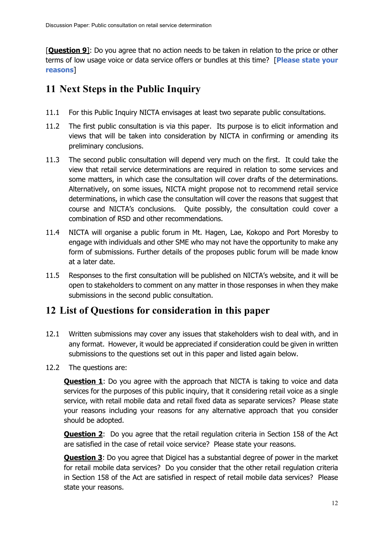[**Question 9**]: Do you agree that no action needs to be taken in relation to the price or other terms of low usage voice or data service offers or bundles at this time? [**Please state your reasons**]

### <span id="page-12-0"></span>**11 Next Steps in the Public Inquiry**

- 11.1 For this Public Inquiry NICTA envisages at least two separate public consultations.
- 11.2 The first public consultation is via this paper. Its purpose is to elicit information and views that will be taken into consideration by NICTA in confirming or amending its preliminary conclusions.
- 11.3 The second public consultation will depend very much on the first. It could take the view that retail service determinations are required in relation to some services and some matters, in which case the consultation will cover drafts of the determinations. Alternatively, on some issues, NICTA might propose not to recommend retail service determinations, in which case the consultation will cover the reasons that suggest that course and NICTA's conclusions. Quite possibly, the consultation could cover a combination of RSD and other recommendations.
- 11.4 NICTA will organise a public forum in Mt. Hagen, Lae, Kokopo and Port Moresby to engage with individuals and other SME who may not have the opportunity to make any form of submissions. Further details of the proposes public forum will be made know at a later date.
- 11.5 Responses to the first consultation will be published on NICTA's website, and it will be open to stakeholders to comment on any matter in those responses in when they make submissions in the second public consultation.

### <span id="page-12-1"></span>**12 List of Questions for consideration in this paper**

- 12.1 Written submissions may cover any issues that stakeholders wish to deal with, and in any format. However, it would be appreciated if consideration could be given in written submissions to the questions set out in this paper and listed again below.
- 12.2 The questions are:

**Question 1**: Do you agree with the approach that NICTA is taking to voice and data services for the purposes of this public inquiry, that it considering retail voice as a single service, with retail mobile data and retail fixed data as separate services? Please state your reasons including your reasons for any alternative approach that you consider should be adopted.

**Question 2:** Do you agree that the retail regulation criteria in Section 158 of the Act are satisfied in the case of retail voice service? Please state your reasons.

**Question 3**: Do you agree that Digicel has a substantial degree of power in the market for retail mobile data services? Do you consider that the other retail regulation criteria in Section 158 of the Act are satisfied in respect of retail mobile data services? Please state your reasons.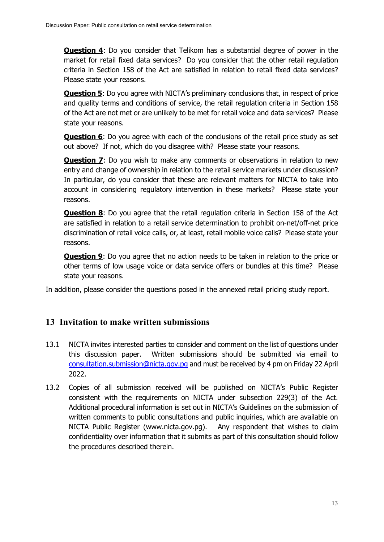**Question 4**: Do you consider that Telikom has a substantial degree of power in the market for retail fixed data services? Do you consider that the other retail regulation criteria in Section 158 of the Act are satisfied in relation to retail fixed data services? Please state your reasons.

**Question 5**: Do you agree with NICTA's preliminary conclusions that, in respect of price and quality terms and conditions of service, the retail regulation criteria in Section 158 of the Act are not met or are unlikely to be met for retail voice and data services? Please state your reasons.

**Question 6**: Do you agree with each of the conclusions of the retail price study as set out above? If not, which do you disagree with? Please state your reasons.

**Question 7**: Do you wish to make any comments or observations in relation to new entry and change of ownership in relation to the retail service markets under discussion? In particular, do you consider that these are relevant matters for NICTA to take into account in considering regulatory intervention in these markets? Please state your reasons.

**Question 8**: Do you agree that the retail regulation criteria in Section 158 of the Act are satisfied in relation to a retail service determination to prohibit on-net/off-net price discrimination of retail voice calls, or, at least, retail mobile voice calls? Please state your reasons.

**Question 9**: Do you agree that no action needs to be taken in relation to the price or other terms of low usage voice or data service offers or bundles at this time? Please state your reasons.

In addition, please consider the questions posed in the annexed retail pricing study report.

### <span id="page-13-0"></span>**13 Invitation to make written submissions**

- 13.1 NICTA invites interested parties to consider and comment on the list of questions under this discussion paper. Written submissions should be submitted via email to [consultation.submission@nicta.gov.pg](mailto:consultation.submission@nicta.gov.pg) and must be received by 4 pm on Friday 22 April 2022.
- 13.2 Copies of all submission received will be published on NICTA's Public Register consistent with the requirements on NICTA under subsection 229(3) of the Act. Additional procedural information is set out in NICTA's Guidelines on the submission of written comments to public consultations and public inquiries, which are available on NICTA Public Register [\(www.nicta.gov.pg\)](http://www.nicta.gov.pg/). Any respondent that wishes to claim confidentiality over information that it submits as part of this consultation should follow the procedures described therein.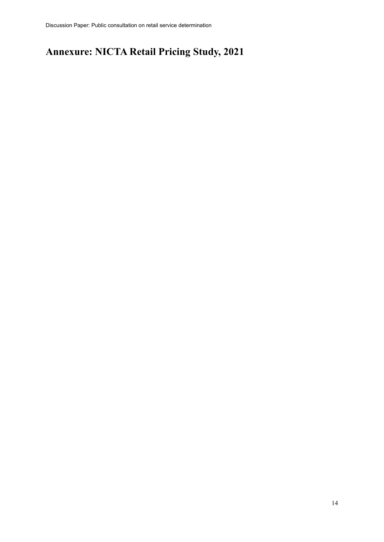## <span id="page-14-0"></span>**Annexure: NICTA Retail Pricing Study, 2021**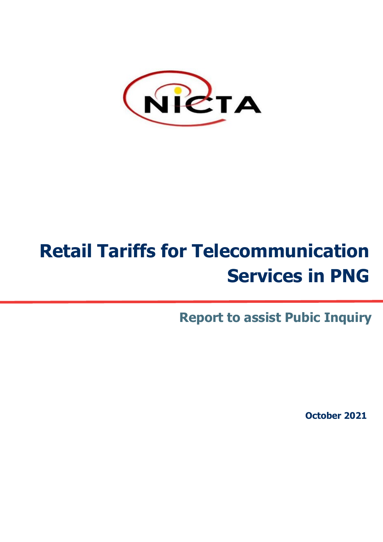

# **Retail Tariffs for Telecommunication Services in PNG**

**Report to assist Pubic Inquiry**

**October 2021**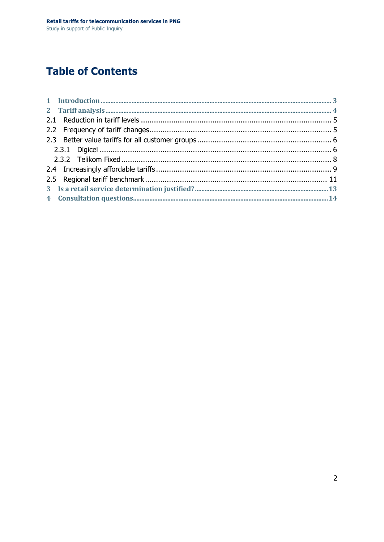# **Table of Contents**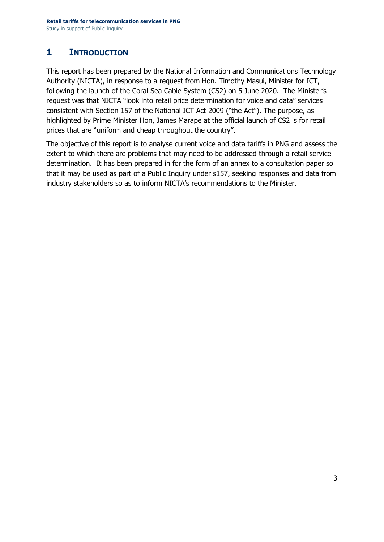### **1 INTRODUCTION**

This report has been prepared by the National Information and Communications Technology Authority (NICTA), in response to a request from Hon. Timothy Masui, Minister for ICT, following the launch of the Coral Sea Cable System (CS2) on 5 June 2020. The Minister's request was that NICTA "look into retail price determination for voice and data" services consistent with Section 157 of the National ICT Act 2009 ("the Act"). The purpose, as highlighted by Prime Minister Hon, James Marape at the official launch of CS2 is for retail prices that are "uniform and cheap throughout the country".

The objective of this report is to analyse current voice and data tariffs in PNG and assess the extent to which there are problems that may need to be addressed through a retail service determination. It has been prepared in for the form of an annex to a consultation paper so that it may be used as part of a Public Inquiry under s157, seeking responses and data from industry stakeholders so as to inform NICTA's recommendations to the Minister.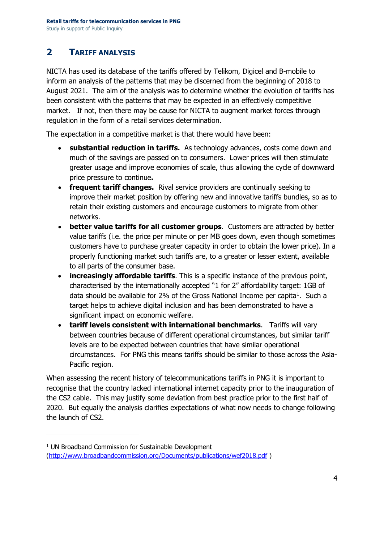### **2 TARIFF ANALYSIS**

NICTA has used its database of the tariffs offered by Telikom, Digicel and B-mobile to inform an analysis of the patterns that may be discerned from the beginning of 2018 to August 2021. The aim of the analysis was to determine whether the evolution of tariffs has been consistent with the patterns that may be expected in an effectively competitive market. If not, then there may be cause for NICTA to augment market forces through regulation in the form of a retail services determination.

The expectation in a competitive market is that there would have been:

- **substantial reduction in tariffs.** As technology advances, costs come down and much of the savings are passed on to consumers. Lower prices will then stimulate greater usage and improve economies of scale, thus allowing the cycle of downward price pressure to continue**.**
- **frequent tariff changes.** Rival service providers are continually seeking to improve their market position by offering new and innovative tariffs bundles, so as to retain their existing customers and encourage customers to migrate from other networks.
- **better value tariffs for all customer groups**. Customers are attracted by better value tariffs (i.e. the price per minute or per MB goes down, even though sometimes customers have to purchase greater capacity in order to obtain the lower price). In a properly functioning market such tariffs are, to a greater or lesser extent, available to all parts of the consumer base.
- **increasingly affordable tariffs**. This is a specific instance of the previous point, characterised by the internationally accepted "1 for 2" affordability target: 1GB of data should be available for 2% of the Gross National Income per capita<sup>[1](#page-18-0)</sup>. Such a target helps to achieve digital inclusion and has been demonstrated to have a significant impact on economic welfare.
- **tariff levels consistent with international benchmarks**. Tariffs will vary between countries because of different operational circumstances, but similar tariff levels are to be expected between countries that have similar operational circumstances. For PNG this means tariffs should be similar to those across the Asia-Pacific region.

When assessing the recent history of telecommunications tariffs in PNG it is important to recognise that the country lacked international internet capacity prior to the inauguration of the CS2 cable. This may justify some deviation from best practice prior to the first half of 2020. But equally the analysis clarifies expectations of what now needs to change following the launch of CS2.

<span id="page-18-0"></span><sup>&</sup>lt;sup>1</sup> UN Broadband Commission for Sustainable Development [\(http://www.broadbandcommission.org/Documents/publications/wef2018.pdf](http://www.broadbandcommission.org/Documents/publications/wef2018.pdf) )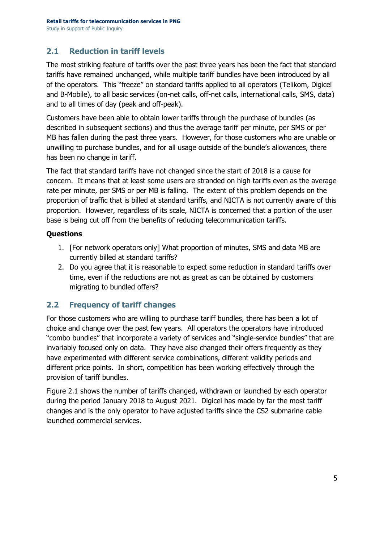### **2.1 Reduction in tariff levels**

The most striking feature of tariffs over the past three years has been the fact that standard tariffs have remained unchanged, while multiple tariff bundles have been introduced by all of the operators. This "freeze" on standard tariffs applied to all operators (Telikom, Digicel and B-Mobile), to all basic services (on-net calls, off-net calls, international calls, SMS, data) and to all times of day (peak and off-peak).

Customers have been able to obtain lower tariffs through the purchase of bundles (as described in subsequent sections) and thus the average tariff per minute, per SMS or per MB has fallen during the past three years. However, for those customers who are unable or unwilling to purchase bundles, and for all usage outside of the bundle's allowances, there has been no change in tariff.

The fact that standard tariffs have not changed since the start of 2018 is a cause for concern. It means that at least some users are stranded on high tariffs even as the average rate per minute, per SMS or per MB is falling. The extent of this problem depends on the proportion of traffic that is billed at standard tariffs, and NICTA is not currently aware of this proportion. However, regardless of its scale, NICTA is concerned that a portion of the user base is being cut off from the benefits of reducing telecommunication tariffs.

#### **Questions**

- 1. [For network operators only] What proportion of minutes, SMS and data MB are currently billed at standard tariffs?
- 2. Do you agree that it is reasonable to expect some reduction in standard tariffs over time, even if the reductions are not as great as can be obtained by customers migrating to bundled offers?

### **2.2 Frequency of tariff changes**

For those customers who are willing to purchase tariff bundles, there has been a lot of choice and change over the past few years. All operators the operators have introduced "combo bundles" that incorporate a variety of services and "single-service bundles" that are invariably focused only on data. They have also changed their offers frequently as they have experimented with different service combinations, different validity periods and different price points. In short, competition has been working effectively through the provision of tariff bundles.

Figure 2.1 shows the number of tariffs changed, withdrawn or launched by each operator during the period January 2018 to August 2021. Digicel has made by far the most tariff changes and is the only operator to have adjusted tariffs since the CS2 submarine cable launched commercial services.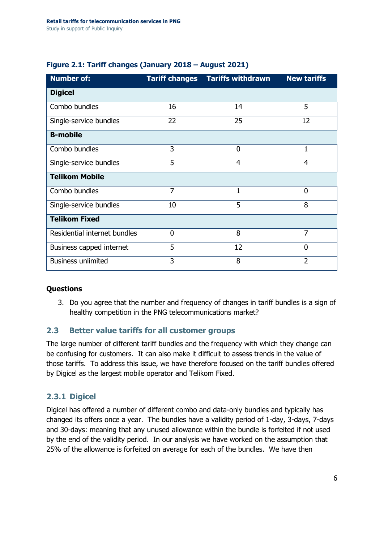|  | Figure 2.1: Tariff changes (January 2018 – August 2021) |
|--|---------------------------------------------------------|
|--|---------------------------------------------------------|

| <b>Number of:</b>            |                | <b>Tariff changes Tariffs withdrawn</b> | <b>New tariffs</b> |
|------------------------------|----------------|-----------------------------------------|--------------------|
| <b>Digicel</b>               |                |                                         |                    |
| Combo bundles                | 16             | 14                                      | 5                  |
| Single-service bundles       | 22             | 25                                      | 12                 |
| <b>B-mobile</b>              |                |                                         |                    |
| Combo bundles                | 3              | $\overline{0}$                          | 1                  |
| Single-service bundles       | 5              | 4                                       | $\overline{4}$     |
| <b>Telikom Mobile</b>        |                |                                         |                    |
| Combo bundles                | $\overline{7}$ | $\mathbf{1}$                            | 0                  |
| Single-service bundles       | 10             | 5                                       | 8                  |
| <b>Telikom Fixed</b>         |                |                                         |                    |
| Residential internet bundles | $\Omega$       | 8                                       | 7                  |
| Business capped internet     | 5              | 12                                      | $\overline{0}$     |
| <b>Business unlimited</b>    | 3              | 8                                       | 2                  |

#### **Questions**

3. Do you agree that the number and frequency of changes in tariff bundles is a sign of healthy competition in the PNG telecommunications market?

### **2.3 Better value tariffs for all customer groups**

The large number of different tariff bundles and the frequency with which they change can be confusing for customers. It can also make it difficult to assess trends in the value of those tariffs. To address this issue, we have therefore focused on the tariff bundles offered by Digicel as the largest mobile operator and Telikom Fixed.

### **2.3.1 Digicel**

Digicel has offered a number of different combo and data-only bundles and typically has changed its offers once a year. The bundles have a validity period of 1-day, 3-days, 7-days and 30-days: meaning that any unused allowance within the bundle is forfeited if not used by the end of the validity period. In our analysis we have worked on the assumption that 25% of the allowance is forfeited on average for each of the bundles. We have then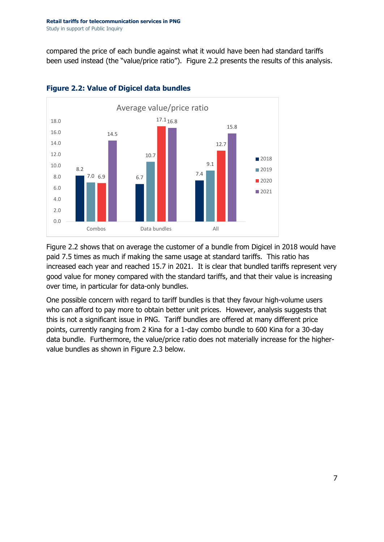compared the price of each bundle against what it would have been had standard tariffs been used instead (the "value/price ratio"). Figure 2.2 presents the results of this analysis.



#### **Figure 2.2: Value of Digicel data bundles**

Figure 2.2 shows that on average the customer of a bundle from Digicel in 2018 would have paid 7.5 times as much if making the same usage at standard tariffs. This ratio has increased each year and reached 15.7 in 2021. It is clear that bundled tariffs represent very good value for money compared with the standard tariffs, and that their value is increasing over time, in particular for data-only bundles.

One possible concern with regard to tariff bundles is that they favour high-volume users who can afford to pay more to obtain better unit prices. However, analysis suggests that this is not a significant issue in PNG. Tariff bundles are offered at many different price points, currently ranging from 2 Kina for a 1-day combo bundle to 600 Kina for a 30-day data bundle. Furthermore, the value/price ratio does not materially increase for the highervalue bundles as shown in Figure 2.3 below.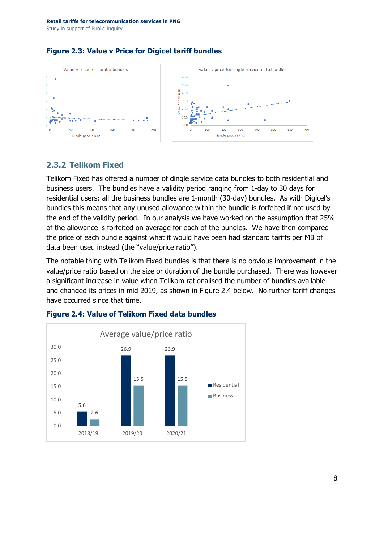

#### **Figure 2.3: Value v Price for Digicel tariff bundles**

#### **2.3.2 Telikom Fixed**

Telikom Fixed has offered a number of dingle service data bundles to both residential and business users. The bundles have a validity period ranging from 1-day to 30 days for residential users; all the business bundles are 1-month (30-day) bundles. As with Digicel's bundles this means that any unused allowance within the bundle is forfeited if not used by the end of the validity period. In our analysis we have worked on the assumption that 25% of the allowance is forfeited on average for each of the bundles. We have then compared the price of each bundle against what it would have been had standard tariffs per MB of data been used instead (the "value/price ratio").

The notable thing with Telikom Fixed bundles is that there is no obvious improvement in the value/price ratio based on the size or duration of the bundle purchased. There was however a significant increase in value when Telikom rationalised the number of bundles available and changed its prices in mid 2019, as shown in Figure 2.4 below. No further tariff changes have occurred since that time.



#### **Figure 2.4: Value of Telikom Fixed data bundles**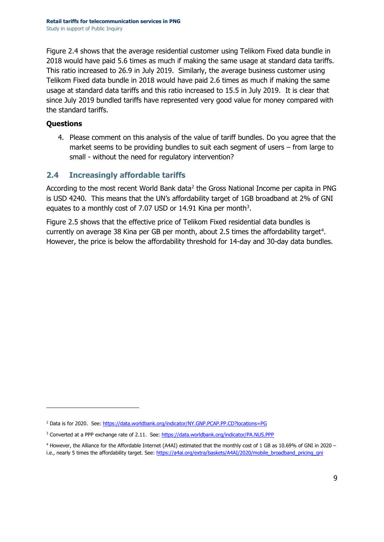Figure 2.4 shows that the average residential customer using Telikom Fixed data bundle in 2018 would have paid 5.6 times as much if making the same usage at standard data tariffs. This ratio increased to 26.9 in July 2019. Similarly, the average business customer using Telikom Fixed data bundle in 2018 would have paid 2.6 times as much if making the same usage at standard data tariffs and this ratio increased to 15.5 in July 2019. It is clear that since July 2019 bundled tariffs have represented very good value for money compared with the standard tariffs.

#### **Questions**

4. Please comment on this analysis of the value of tariff bundles. Do you agree that the market seems to be providing bundles to suit each segment of users – from large to small - without the need for regulatory intervention?

### **2.4 Increasingly affordable tariffs**

According to the most recent World Bank data<sup>[2](#page-23-0)</sup> the Gross National Income per capita in PNG is USD 4240. This means that the UN's affordability target of 1GB broadband at 2% of GNI equates to a monthly cost of 7.07 USD or  $14.91$  Kina per month<sup>[3](#page-23-1)</sup>.

Figure 2.5 shows that the effective price of Telikom Fixed residential data bundles is currently on average 38 Kina per GB per month, about 2.5 times the affordability target<sup>[4](#page-23-2)</sup>. However, the price is below the affordability threshold for 14-day and 30-day data bundles.

<span id="page-23-0"></span><sup>&</sup>lt;sup>2</sup> Data is for 2020. See[: https://data.worldbank.org/indicator/NY.GNP.PCAP.PP.CD?locations=PG](https://data.worldbank.org/indicator/NY.GNP.PCAP.PP.CD?locations=PG)

<span id="page-23-1"></span><sup>&</sup>lt;sup>3</sup> Converted at a PPP exchange rate of 2.11. See[: https://data.worldbank.org/indicator/PA.NUS.PPP](https://data.worldbank.org/indicator/PA.NUS.PPP)

<span id="page-23-2"></span><sup>4</sup> However, the Alliance for the Affordable Internet (A4AI) estimated that the monthly cost of 1 GB as 10.69% of GNI in 2020 – i.e., nearly 5 times the affordability target. See: [https://a4ai.org/extra/baskets/A4AI/2020/mobile\\_broadband\\_pricing\\_gni](https://a4ai.org/extra/baskets/A4AI/2020/mobile_broadband_pricing_gni)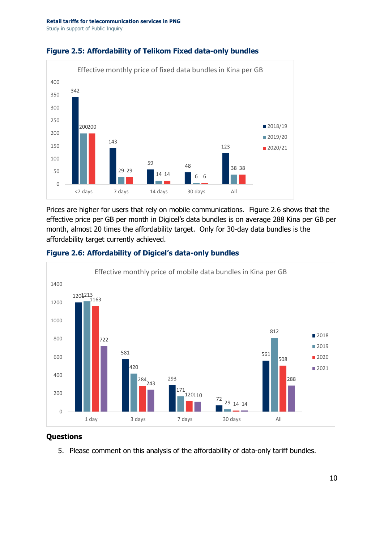

#### **Figure 2.5: Affordability of Telikom Fixed data-only bundles**

Prices are higher for users that rely on mobile communications. Figure 2.6 shows that the effective price per GB per month in Digicel's data bundles is on average 288 Kina per GB per month, almost 20 times the affordability target. Only for 30-day data bundles is the affordability target currently achieved.



#### **Figure 2.6: Affordability of Digicel's data-only bundles**

#### **Questions**

5. Please comment on this analysis of the affordability of data-only tariff bundles.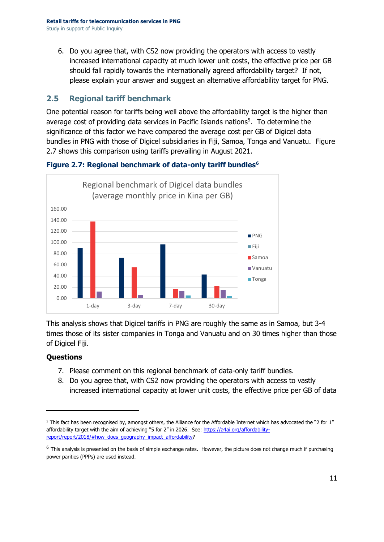6. Do you agree that, with CS2 now providing the operators with access to vastly increased international capacity at much lower unit costs, the effective price per GB should fall rapidly towards the internationally agreed affordability target? If not, please explain your answer and suggest an alternative affordability target for PNG.

### **2.5 Regional tariff benchmark**

One potential reason for tariffs being well above the affordability target is the higher than average cost of providing data services in Pacific Islands nations<sup>5</sup>. To determine the significance of this factor we have compared the average cost per GB of Digicel data bundles in PNG with those of Digicel subsidiaries in Fiji, Samoa, Tonga and Vanuatu. Figure 2.7 shows this comparison using tariffs prevailing in August 2021.



**Figure 2.7: Regional benchmark of data-only tariff bundles[6](#page-25-1)**

This analysis shows that Digicel tariffs in PNG are roughly the same as in Samoa, but 3-4 times those of its sister companies in Tonga and Vanuatu and on 30 times higher than those of Digicel Fiji.

### **Questions**

- 7. Please comment on this regional benchmark of data-only tariff bundles.
- 8. Do you agree that, with CS2 now providing the operators with access to vastly increased international capacity at lower unit costs, the effective price per GB of data

<span id="page-25-0"></span><sup>5</sup> This fact has been recognised by, amongst others, the Alliance for the Affordable Internet which has advocated the "2 for 1" affordability target with the aim of achieving "5 for 2" in 2026. See[: https://a4ai.org/affordability](https://a4ai.org/affordability-report/report/2018/#how_does_geography_impact_affordability)[report/report/2018/#how\\_does\\_geography\\_impact\\_affordability?](https://a4ai.org/affordability-report/report/2018/#how_does_geography_impact_affordability)

<span id="page-25-1"></span> $6$  This analysis is presented on the basis of simple exchange rates. However, the picture does not change much if purchasing power parities (PPPs) are used instead.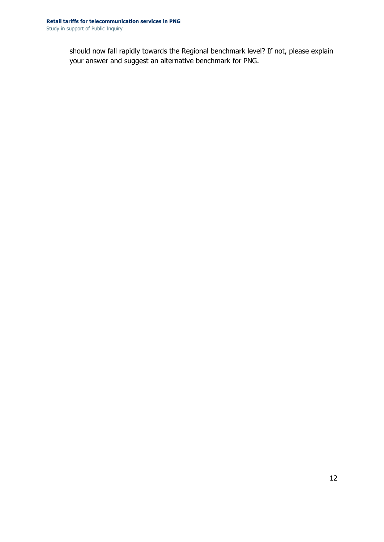should now fall rapidly towards the Regional benchmark level? If not, please explain your answer and suggest an alternative benchmark for PNG.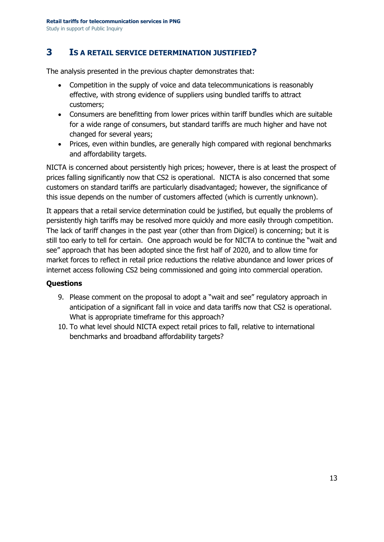### **3 IS A RETAIL SERVICE DETERMINATION JUSTIFIED?**

The analysis presented in the previous chapter demonstrates that:

- Competition in the supply of voice and data telecommunications is reasonably effective, with strong evidence of suppliers using bundled tariffs to attract customers;
- Consumers are benefitting from lower prices within tariff bundles which are suitable for a wide range of consumers, but standard tariffs are much higher and have not changed for several years;
- Prices, even within bundles, are generally high compared with regional benchmarks and affordability targets.

NICTA is concerned about persistently high prices; however, there is at least the prospect of prices falling significantly now that CS2 is operational. NICTA is also concerned that some customers on standard tariffs are particularly disadvantaged; however, the significance of this issue depends on the number of customers affected (which is currently unknown).

It appears that a retail service determination could be justified, but equally the problems of persistently high tariffs may be resolved more quickly and more easily through competition. The lack of tariff changes in the past year (other than from Digicel) is concerning; but it is still too early to tell for certain. One approach would be for NICTA to continue the "wait and see" approach that has been adopted since the first half of 2020, and to allow time for market forces to reflect in retail price reductions the relative abundance and lower prices of internet access following CS2 being commissioned and going into commercial operation.

#### **Questions**

- 9. Please comment on the proposal to adopt a "wait and see" regulatory approach in anticipation of a significant fall in voice and data tariffs now that CS2 is operational. What is appropriate timeframe for this approach?
- 10. To what level should NICTA expect retail prices to fall, relative to international benchmarks and broadband affordability targets?